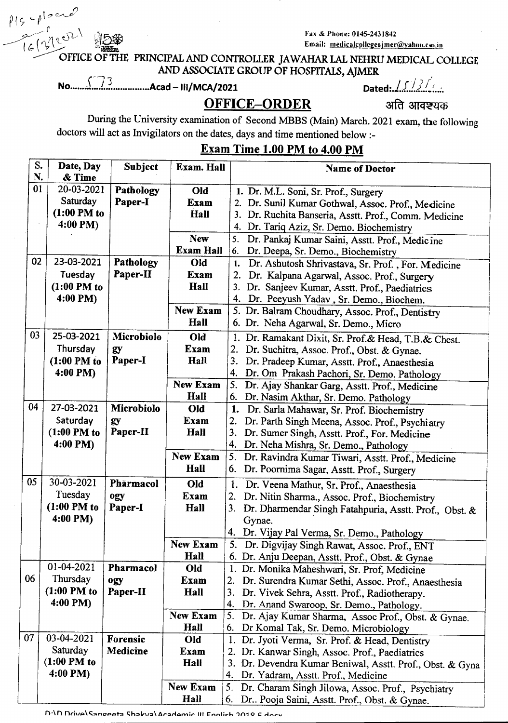*P <sup>1</sup> ,-pto~~* ). r  $-2\pi\,16}$  100

Fax & Phone: 0145-2431842 Email: medicalcollegeajmer@yahoo.co.in

OFFICE OF THE PRINCIPAL AND CONTROLLER JAWAHAR LAL NEHRU MEDICAL COLLEGE AND ASSOCIATE GROUP OF HOSPITALS, AJMER

<sup>N</sup>**0.................................** *C7]* <sup>A</sup>**ca**d**-** 111/MeA/202l 0**a**t**e**d·*jf <sup>j</sup> <sup>J</sup> /"***\_***{* <sup>i</sup>**.**

**OFFICE-ORDER** अति आवश्यक

During the University examination of Second MBBS (Main) March. 2021 exam, the following doctors will act as Invigilators on the dates, days and time mentioned below :-

## Exam Time 1.00 PM to 4.00 PM

| S. | Date, Day     | Subject         | Exam. Hall       | <b>Name of Doctor</b>                                        |
|----|---------------|-----------------|------------------|--------------------------------------------------------------|
| N. | & Time        |                 |                  |                                                              |
| 01 | 20-03-2021    | Pathology       | Old              | 1. Dr. M.L. Soni, Sr. Prof., Surgery                         |
|    | Saturday      | Paper-I         | <b>Exam</b>      | 2. Dr. Sunil Kumar Gothwal, Assoc. Prof., Medicine           |
|    | $(1:00$ PM to |                 | Hall             | 3. Dr. Ruchita Banseria, Asstt. Prof., Comm. Medicine        |
|    | 4:00 PM)      |                 |                  | 4. Dr. Tariq Aziz, Sr. Demo. Biochemistry                    |
|    |               |                 | <b>New</b>       | 5.<br>Dr. Pankaj Kumar Saini, Asstt. Prof., Medicine         |
|    |               |                 | <b>Exam Hall</b> | Dr. Deepa, Sr. Demo., Biochemistry<br>6.                     |
| 02 | 23-03-2021    | Pathology       | Old              | 1. Dr. Ashutosh Shrivastava, Sr. Prof., For. Medicine        |
|    | Tuesday       | Paper-II        | <b>Exam</b>      | 2. Dr. Kalpana Agarwal, Assoc. Prof., Surgery                |
|    | $(1:00$ PM to |                 | Hall             | 3. Dr. Sanjeev Kumar, Asstt. Prof., Paediatrics              |
|    | 4:00 PM)      |                 |                  | 4. Dr. Peeyush Yadav, Sr. Demo., Biochem.                    |
|    |               |                 | <b>New Exam</b>  | 5. Dr. Balram Choudhary, Assoc. Prof., Dentistry             |
|    |               |                 | Hall             | 6. Dr. Neha Agarwal, Sr. Demo., Micro                        |
| 03 | 25-03-2021    | Microbiolo      | Old              | 1. Dr. Ramakant Dixit, Sr. Prof.& Head, T.B.& Chest.         |
|    | Thursday      | gy              | Exam             | 2.<br>Dr. Suchitra, Assoc. Prof., Obst. & Gynae.             |
|    | $(1:00$ PM to | Paper-I         | Hall             | 3.<br>Dr. Pradeep Kumar, Asstt. Prof., Anaesthesia           |
|    | 4:00 PM)      |                 |                  | 4.<br>Dr. Om Prakash Pachori, Sr. Demo. Pathology            |
|    |               |                 | <b>New Exam</b>  | 5.<br>Dr. Ajay Shankar Garg, Asstt. Prof., Medicine          |
|    |               |                 | Hall             | 6. Dr. Nasim Akthar, Sr. Demo. Pathology                     |
| 04 | 27-03-2021    | Microbiolo      | Old              | 1. Dr. Sarla Mahawar, Sr. Prof. Biochemistry                 |
|    | Saturday      | gy              | Exam             | Dr. Parth Singh Meena, Assoc. Prof., Psychiatry              |
|    | $(1:00$ PM to | Paper-II        | Hall             | 3.<br>Dr. Sumer Singh, Asstt. Prof., For. Medicine           |
|    | 4:00 PM)      |                 |                  | 4.<br>Dr. Neha Mishra, Sr. Demo., Pathology                  |
|    |               |                 | <b>New Exam</b>  | 5.<br>Dr. Ravindra Kumar Tiwari, Asstt. Prof., Medicine      |
|    |               |                 | Hall             | 6.<br>Dr. Poornima Sagar, Asstt. Prof., Surgery              |
| 05 | 30-03-2021    | Pharmacol       | Old              | 1.<br>Dr. Veena Mathur, Sr. Prof., Anaesthesia               |
|    | Tuesday       | ogy             | Exam             | Dr. Nitin Sharma., Assoc. Prof., Biochemistry<br>2.          |
|    | $(1:00$ PM to | Paper-I         | Hall             | 3.<br>Dr. Dharmendar Singh Fatahpuria, Asstt. Prof., Obst. & |
|    | 4:00 PM)      |                 |                  | Gynae.                                                       |
|    |               |                 |                  | 4. Dr. Vijay Pal Verma, Sr. Demo., Pathology                 |
|    |               |                 | New Exam         | 5. Dr. Digvijay Singh Rawat, Assoc. Prof., ENT               |
|    |               |                 | Hall             | 6. Dr. Anju Deepan, Asstt. Prof., Obst. & Gynae              |
|    | 01-04-2021    | Pharmacol       | Old              | 1. Dr. Monika Maheshwari, Sr. Prof, Medicine                 |
| 06 | Thursday      | ogy             | Exam             | Dr. Surendra Kumar Sethi, Assoc. Prof., Anaesthesia<br>2.    |
|    | $(1:00$ PM to | Paper-II        | Hall             | 3.<br>Dr. Vivek Sehra, Asstt. Prof., Radiotherapy.           |
|    | 4:00 PM)      |                 |                  | 4.<br>Dr. Anand Swaroop, Sr. Demo., Pathology.               |
|    |               |                 | <b>New Exam</b>  | 5. Dr. Ajay Kumar Sharma, Assoc Prof., Obst. & Gynae.        |
|    |               |                 | Hall             | 6. Dr Komal Tak, Sr. Demo. Microbiology                      |
| 07 | 03-04-2021    | Forensic        | Old              | Dr. Jyoti Verma, Sr. Prof. & Head, Dentistry<br>1.           |
|    | Saturday      | <b>Medicine</b> | Exam             | 2. Dr. Kanwar Singh, Assoc. Prof., Paediatrics               |
|    | $(1:00$ PM to |                 | Hall             | 3. Dr. Devendra Kumar Beniwal, Asstt. Prof., Obst. & Gyna    |
|    | 4:00 PM)      |                 |                  | Dr. Yadram, Asstt. Prof., Medicine<br>4.                     |
|    |               |                 | New Exam         | 5.<br>Dr. Charam Singh Jilowa, Assoc. Prof., Psychiatry      |
|    |               |                 | Hall             | 6.<br>Dr., Pooja Saini, Asstt. Prof., Obst. & Gynae.         |

D.10 Drival Sangoota Shakual Acadomic III Fnolish 2018 E docu